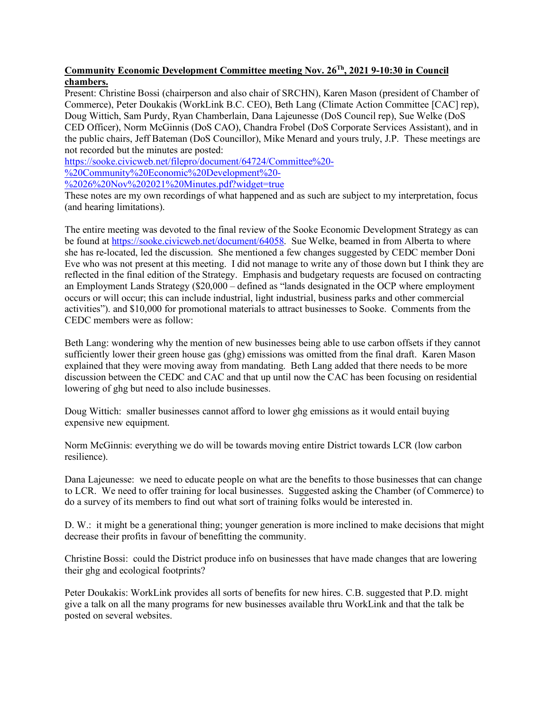## **Community Economic Development Committee meeting Nov. 26Th, 2021 9-10:30 in Council chambers.**

Present: Christine Bossi (chairperson and also chair of SRCHN), Karen Mason (president of Chamber of Commerce), Peter Doukakis (WorkLink B.C. CEO), Beth Lang (Climate Action Committee [CAC] rep), Doug Wittich, Sam Purdy, Ryan Chamberlain, Dana Lajeunesse (DoS Council rep), Sue Welke (DoS CED Officer), Norm McGinnis (DoS CAO), Chandra Frobel (DoS Corporate Services Assistant), and in the public chairs, Jeff Bateman (DoS Councillor), Mike Menard and yours truly, J.P. These meetings are not recorded but the minutes are posted:

https://sooke.civicweb.net/filepro/document/64724/Committee%20- %20Community%20Economic%20Development%20-

 $\frac{\%2026\%20\text{Nov}}{\%202021\%20\text{Minutes}}$ .pdf?widget=true

These notes are my own recordings of what happened and as such are subject to my interpretation, focus (and hearing limitations).

The entire meeting was devoted to the final review of the Sooke Economic Development Strategy as can be found at https://sooke.civicweb.net/document/64058. Sue Welke, beamed in from Alberta to where she has re-located, led the discussion. She mentioned a few changes suggested by CEDC member Doni Eve who was not present at this meeting. I did not manage to write any of those down but I think they are reflected in the final edition of the Strategy. Emphasis and budgetary requests are focused on contracting an Employment Lands Strategy (\$20,000 – defined as "lands designated in the OCP where employment occurs or will occur; this can include industrial, light industrial, business parks and other commercial activities"). and \$10,000 for promotional materials to attract businesses to Sooke. Comments from the CEDC members were as follow:

Beth Lang: wondering why the mention of new businesses being able to use carbon offsets if they cannot sufficiently lower their green house gas (ghg) emissions was omitted from the final draft. Karen Mason explained that they were moving away from mandating. Beth Lang added that there needs to be more discussion between the CEDC and CAC and that up until now the CAC has been focusing on residential lowering of ghg but need to also include businesses.

Doug Wittich: smaller businesses cannot afford to lower ghg emissions as it would entail buying expensive new equipment.

Norm McGinnis: everything we do will be towards moving entire District towards LCR (low carbon resilience).

Dana Lajeunesse: we need to educate people on what are the benefits to those businesses that can change to LCR. We need to offer training for local businesses. Suggested asking the Chamber (of Commerce) to do a survey of its members to find out what sort of training folks would be interested in.

D. W.: it might be a generational thing; younger generation is more inclined to make decisions that might decrease their profits in favour of benefitting the community.

Christine Bossi: could the District produce info on businesses that have made changes that are lowering their ghg and ecological footprints?

Peter Doukakis: WorkLink provides all sorts of benefits for new hires. C.B. suggested that P.D. might give a talk on all the many programs for new businesses available thru WorkLink and that the talk be posted on several websites.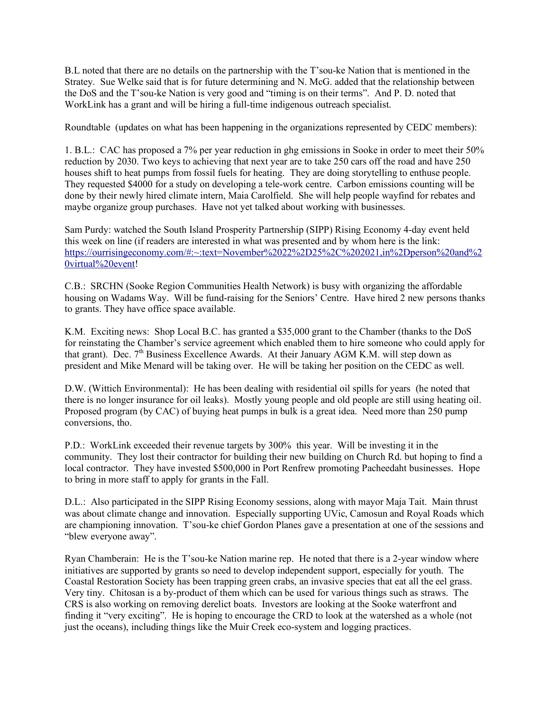B.L noted that there are no details on the partnership with the T'sou-ke Nation that is mentioned in the Stratey. Sue Welke said that is for future determining and N. McG. added that the relationship between the DoS and the T'sou-ke Nation is very good and "timing is on their terms". And P. D. noted that WorkLink has a grant and will be hiring a full-time indigenous outreach specialist.

Roundtable (updates on what has been happening in the organizations represented by CEDC members):

1. B.L.: CAC has proposed a 7% per year reduction in ghg emissions in Sooke in order to meet their 50% reduction by 2030. Two keys to achieving that next year are to take 250 cars off the road and have 250 houses shift to heat pumps from fossil fuels for heating. They are doing storytelling to enthuse people. They requested \$4000 for a study on developing a tele-work centre. Carbon emissions counting will be done by their newly hired climate intern, Maia Carolfield. She will help people wayfind for rebates and maybe organize group purchases. Have not yet talked about working with businesses.

Sam Purdy: watched the South Island Prosperity Partnership (SIPP) Rising Economy 4-day event held this week on line (if readers are interested in what was presented and by whom here is the link: https://ourrisingeconomy.com/#:~:text=November%2022%2D25%2C%202021,in%2Dperson%20and%2 0virtual%20event!

C.B.: SRCHN (Sooke Region Communities Health Network) is busy with organizing the affordable housing on Wadams Way. Will be fund-raising for the Seniors' Centre. Have hired 2 new persons thanks to grants. They have office space available.

K.M. Exciting news: Shop Local B.C. has granted a \$35,000 grant to the Chamber (thanks to the DoS for reinstating the Chamber's service agreement which enabled them to hire someone who could apply for that grant). Dec.  $7<sup>th</sup>$  Business Excellence Awards. At their January AGM K.M. will step down as president and Mike Menard will be taking over. He will be taking her position on the CEDC as well.

D.W. (Wittich Environmental): He has been dealing with residential oil spills for years (he noted that there is no longer insurance for oil leaks). Mostly young people and old people are still using heating oil. Proposed program (by CAC) of buying heat pumps in bulk is a great idea. Need more than 250 pump conversions, tho.

P.D.: WorkLink exceeded their revenue targets by 300% this year. Will be investing it in the community. They lost their contractor for building their new building on Church Rd. but hoping to find a local contractor. They have invested \$500,000 in Port Renfrew promoting Pacheedaht businesses. Hope to bring in more staff to apply for grants in the Fall.

D.L.: Also participated in the SIPP Rising Economy sessions, along with mayor Maja Tait. Main thrust was about climate change and innovation. Especially supporting UVic, Camosun and Royal Roads which are championing innovation. T'sou-ke chief Gordon Planes gave a presentation at one of the sessions and "blew everyone away".

Ryan Chamberain: He is the T'sou-ke Nation marine rep. He noted that there is a 2-year window where initiatives are supported by grants so need to develop independent support, especially for youth. The Coastal Restoration Society has been trapping green crabs, an invasive species that eat all the eel grass. Very tiny. Chitosan is a by-product of them which can be used for various things such as straws. The CRS is also working on removing derelict boats. Investors are looking at the Sooke waterfront and finding it "very exciting". He is hoping to encourage the CRD to look at the watershed as a whole (not just the oceans), including things like the Muir Creek eco-system and logging practices.